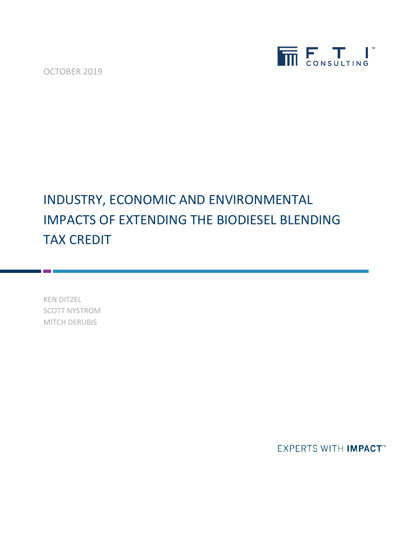OCTOBER 2019



## INDUSTRY, ECONOMIC AND ENVIRONMENTAL IMPACTS OF EXTENDING THE BIODIESEL BLENDING TAX CREDIT

KEN DITZEL SCOTT NYSTROM MITCH DERUBIS

**EXPERTS WITH IMPACT**<sup>\*\*</sup>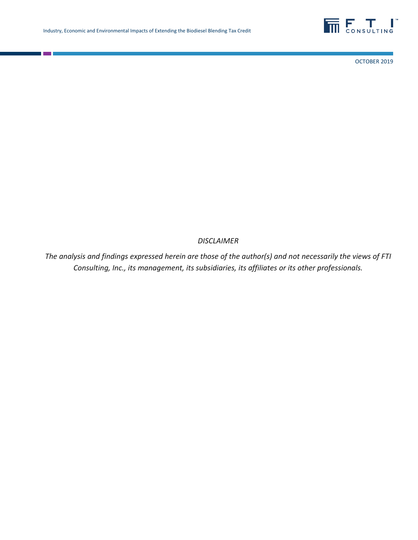

OCTOBER 2019

#### *DISCLAIMER*

*The analysis and findings expressed herein are those of the author(s) and not necessarily the views of FTI Consulting, Inc., its management, its subsidiaries, its affiliates or its other professionals.*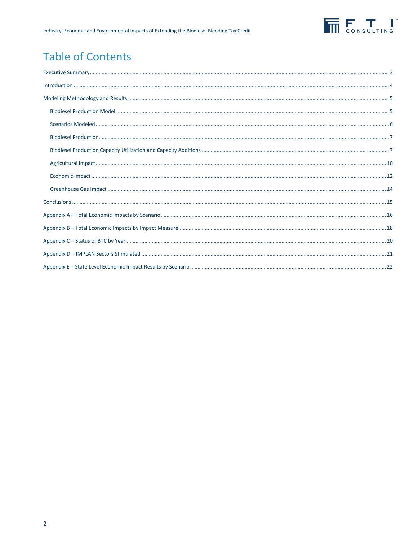

## **Table of Contents**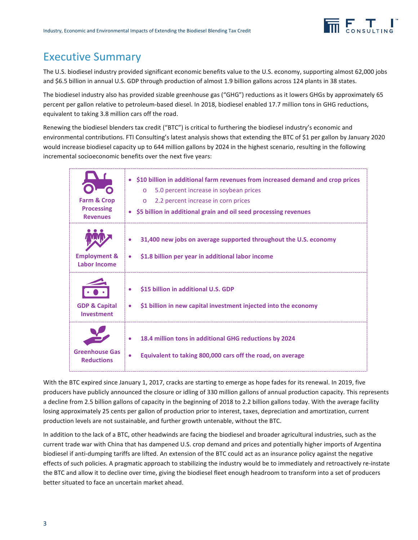

### Executive Summary

The U.S. biodiesel industry provided significant economic benefits value to the U.S. economy, supporting almost 62,000 jobs and \$6.5 billion in annual U.S. GDP through production of almost 1.9 billion gallons across 124 plants in 38 states.

The biodiesel industry also has provided sizable greenhouse gas ("GHG") reductions as it lowers GHGs by approximately 65 percent per gallon relative to petroleum-based diesel. In 2018, biodiesel enabled 17.7 million tons in GHG reductions, equivalent to taking 3.8 million cars off the road.

Renewing the biodiesel blenders tax credit ("BTC") is critical to furthering the biodiesel industry's economic and environmental contributions. FTI Consulting's latest analysis shows that extending the BTC of \$1 per gallon by January 2020 would increase biodiesel capacity up to 644 million gallons by 2024 in the highest scenario, resulting in the following incremental socioeconomic benefits over the next five years:

| <b>Farm &amp; Crop</b><br><b>Processing</b><br><b>Revenues</b> | • \$10 billion in additional farm revenues from increased demand and crop prices<br>5.0 percent increase in soybean prices<br>$\Omega$<br>2.2 percent increase in corn prices<br>$\circ$<br>• \$5 billion in additional grain and oil seed processing revenues |
|----------------------------------------------------------------|----------------------------------------------------------------------------------------------------------------------------------------------------------------------------------------------------------------------------------------------------------------|
| <b>Employment &amp;</b><br><b>Labor Income</b>                 | 31,400 new jobs on average supported throughout the U.S. economy<br>\$1.8 billion per year in additional labor income<br>$\bullet$                                                                                                                             |
| <b>GDP &amp; Capital</b><br>Investment                         | \$15 billion in additional U.S. GDP<br>۰<br>\$1 billion in new capital investment injected into the economy<br>$\bullet$                                                                                                                                       |
| <b>Greenhouse Gas</b><br><b>Reductions</b>                     | 18.4 million tons in additional GHG reductions by 2024<br>Equivalent to taking 800,000 cars off the road, on average                                                                                                                                           |

With the BTC expired since January 1, 2017, cracks are starting to emerge as hope fades for its renewal. In 2019, five producers have publicly announced the closure or idling of 330 million gallons of annual production capacity. This represents a decline from 2.5 billion gallons of capacity in the beginning of 2018 to 2.2 billion gallons today. With the average facility losing approximately 25 cents per gallon of production prior to interest, taxes, depreciation and amortization, current production levels are not sustainable, and further growth untenable, without the BTC.

In addition to the lack of a BTC, other headwinds are facing the biodiesel and broader agricultural industries, such as the current trade war with China that has dampened U.S. crop demand and prices and potentially higher imports of Argentina biodiesel if anti-dumping tariffs are lifted. An extension of the BTC could act as an insurance policy against the negative effects of such policies. A pragmatic approach to stabilizing the industry would be to immediately and retroactively re-instate the BTC and allow it to decline over time, giving the biodiesel fleet enough headroom to transform into a set of producers better situated to face an uncertain market ahead.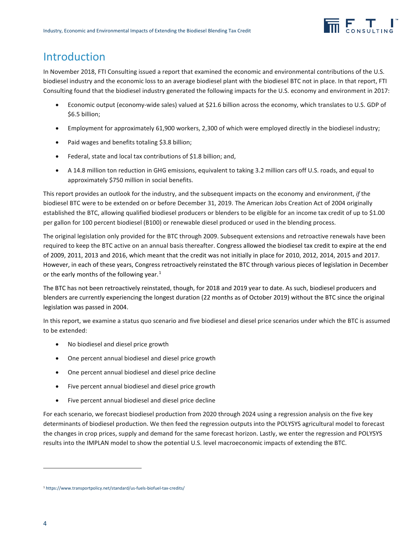### Introduction

In November 2018, FTI Consulting issued a report that examined the economic and environmental contributions of the U.S. biodiesel industry and the economic loss to an average biodiesel plant with the biodiesel BTC not in place. In that report, FTI Consulting found that the biodiesel industry generated the following impacts for the U.S. economy and environment in 2017:

- Economic output (economy-wide sales) valued at \$21.6 billion across the economy, which translates to U.S. GDP of \$6.5 billion;
- Employment for approximately 61,900 workers, 2,300 of which were employed directly in the biodiesel industry;
- Paid wages and benefits totaling \$3.8 billion;
- Federal, state and local tax contributions of \$1.8 billion; and,
- A 14.8 million ton reduction in GHG emissions, equivalent to taking 3.2 million cars off U.S. roads, and equal to approximately \$750 million in social benefits.

This report provides an outlook for the industry, and the subsequent impacts on the economy and environment, *if* the biodiesel BTC were to be extended on or before December 31, 2019. The American Jobs Creation Act of 2004 originally established the BTC, allowing qualified biodiesel producers or blenders to be eligible for an income tax credit of up to \$1.00 per gallon for 100 percent biodiesel (B100) or renewable diesel produced or used in the blending process.

The original legislation only provided for the BTC through 2009. Subsequent extensions and retroactive renewals have been required to keep the BTC active on an annual basis thereafter. Congress allowed the biodiesel tax credit to expire at the end of 2009, 2011, 2013 and 2016, which meant that the credit was not initially in place for 2010, 2012, 2014, 2015 and 2017. However, in each of these years, Congress retroactively reinstated the BTC through various pieces of legislation in December or the early months of the following year. $1$ 

The BTC has not been retroactively reinstated, though, for 2018 and 2019 year to date. As such, biodiesel producers and blenders are currently experiencing the longest duration (22 months as of October 2019) without the BTC since the original legislation was passed in 2004.

In this report, we examine a status quo scenario and five biodiesel and diesel price scenarios under which the BTC is assumed to be extended:

- No biodiesel and diesel price growth
- One percent annual biodiesel and diesel price growth
- One percent annual biodiesel and diesel price decline
- Five percent annual biodiesel and diesel price growth
- Five percent annual biodiesel and diesel price decline

For each scenario, we forecast biodiesel production from 2020 through 2024 using a regression analysis on the five key determinants of biodiesel production. We then feed the regression outputs into the POLYSYS agricultural model to forecast the changes in crop prices, supply and demand for the same forecast horizon. Lastly, we enter the regression and POLYSYS results into the IMPLAN model to show the potential U.S. level macroeconomic impacts of extending the BTC.

1

<span id="page-4-0"></span><sup>1</sup> <https://www.transportpolicy.net/standard/us-fuels-biofuel-tax-credits/>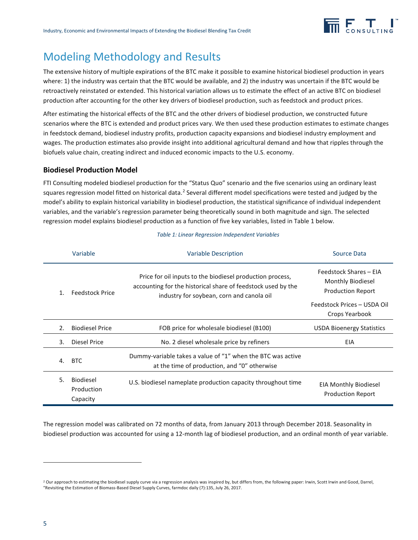

## Modeling Methodology and Results

The extensive history of multiple expirations of the BTC make it possible to examine historical biodiesel production in years where: 1) the industry was certain that the BTC would be available, and 2) the industry was uncertain if the BTC would be retroactively reinstated or extended. This historical variation allows us to estimate the effect of an active BTC on biodiesel production after accounting for the other key drivers of biodiesel production, such as feedstock and product prices.

After estimating the historical effects of the BTC and the other drivers of biodiesel production, we constructed future scenarios where the BTC is extended and product prices vary. We then used these production estimates to estimate changes in feedstock demand, biodiesel industry profits, production capacity expansions and biodiesel industry employment and wages. The production estimates also provide insight into additional agricultural demand and how that ripples through the biofuels value chain, creating indirect and induced economic impacts to the U.S. economy.

#### **Biodiesel Production Model**

FTI Consulting modeled biodiesel production for the "Status Quo" scenario and the five scenarios using an ordinary least squares regression model fitted on historical data.<sup>[2](#page-5-1)</sup> Several different model specifications were tested and judged by the model's ability to explain historical variability in biodiesel production, the statistical significance of individual independent variables, and the variable's regression parameter being theoretically sound in both magnitude and sign. The selected regression model explains biodiesel production as a function of five key variables, listed i[n Table 1](#page-5-0) below.

<span id="page-5-0"></span>

|    | Variable                                                                                                                                                                                         | <b>Variable Description</b>                                                                                 | Source Data                                                             |
|----|--------------------------------------------------------------------------------------------------------------------------------------------------------------------------------------------------|-------------------------------------------------------------------------------------------------------------|-------------------------------------------------------------------------|
|    | Price for oil inputs to the biodiesel production process,<br>accounting for the historical share of feedstock used by the<br><b>Feedstock Price</b><br>industry for soybean, corn and canola oil |                                                                                                             | Feedstock Shares - EIA<br>Monthly Biodiesel<br><b>Production Report</b> |
|    |                                                                                                                                                                                                  |                                                                                                             | Feedstock Prices - USDA Oil<br>Crops Yearbook                           |
| 2. | <b>Biodiesel Price</b>                                                                                                                                                                           | FOB price for wholesale biodiesel (B100)                                                                    | <b>USDA Bioenergy Statistics</b>                                        |
| 3. | Diesel Price                                                                                                                                                                                     | No. 2 diesel wholesale price by refiners                                                                    | EIA                                                                     |
| 4. | <b>BTC</b>                                                                                                                                                                                       | Dummy-variable takes a value of "1" when the BTC was active<br>at the time of production, and "0" otherwise |                                                                         |
| 5. | <b>Biodiesel</b><br>Production<br>Capacity                                                                                                                                                       | U.S. biodiesel nameplate production capacity throughout time                                                | <b>EIA Monthly Biodiesel</b><br><b>Production Report</b>                |

*Table 1: Linear Regression Independent Variables*

The regression model was calibrated on 72 months of data, from January 2013 through December 2018. Seasonality in biodiesel production was accounted for using a 12-month lag of biodiesel production, and an ordinal month of year variable.

**.** 

<span id="page-5-1"></span><sup>&</sup>lt;sup>2</sup> Our approach to estimating the biodiesel supply curve via a regression analysis was inspired by, but differs from, the following paper: Irwin, Scott Irwin and Good, Darrel, "Revisiting the Estimation of Biomass-Based Diesel Supply Curves, farmdoc daily (7):135, July 26, 2017.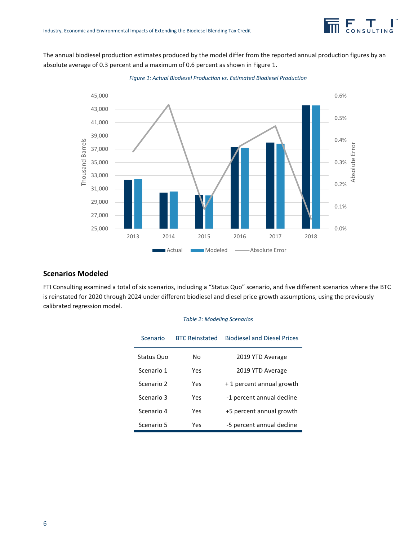<span id="page-6-0"></span>The annual biodiesel production estimates produced by the model differ from the reported annual production figures by an absolute average of 0.3 percent and a maximum of 0.6 percent as shown in [Figure 1.](#page-6-0)



*Figure 1: Actual Biodiesel Production vs. Estimated Biodiesel Production*

#### **Scenarios Modeled**

FTI Consulting examined a total of six scenarios, including a "Status Quo" scenario, and five different scenarios where the BTC is reinstated for 2020 through 2024 under different biodiesel and diesel price growth assumptions, using the previously calibrated regression model.

#### *Table 2: Modeling Scenarios*

| Scenario   | <b>BTC Reinstated</b> | <b>Biodiesel and Diesel Prices</b> |
|------------|-----------------------|------------------------------------|
| Status Quo | Nο                    | 2019 YTD Average                   |
| Scenario 1 | Yes                   | 2019 YTD Average                   |
| Scenario 2 | Yes                   | +1 percent annual growth           |
| Scenario 3 | Yes                   | -1 percent annual decline          |
| Scenario 4 | Yes                   | +5 percent annual growth           |
| Scenario 5 | Yes                   | -5 percent annual decline          |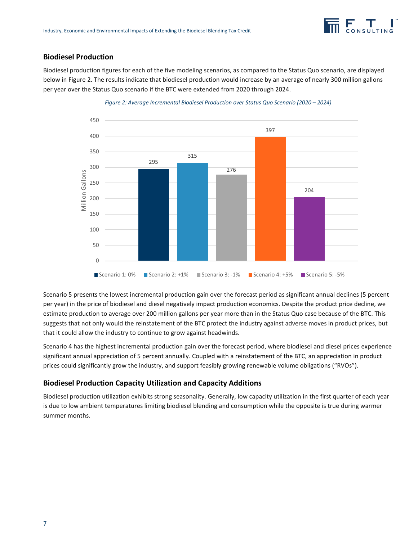#### **Biodiesel Production**

Biodiesel production figures for each of the five modeling scenarios, as compared to the Status Quo scenario, are displayed below in [Figure 2.](#page-7-0) The results indicate that biodiesel production would increase by an average of nearly 300 million gallons per year over the Status Quo scenario if the BTC were extended from 2020 through 2024.

<span id="page-7-0"></span>

#### *Figure 2: Average Incremental Biodiesel Production over Status Quo Scenario (2020 – 2024)*

Scenario 5 presents the lowest incremental production gain over the forecast period as significant annual declines (5 percent per year) in the price of biodiesel and diesel negatively impact production economics. Despite the product price decline, we estimate production to average over 200 million gallons per year more than in the Status Quo case because of the BTC. This suggests that not only would the reinstatement of the BTC protect the industry against adverse moves in product prices, but that it could allow the industry to continue to grow against headwinds.

Scenario 4 has the highest incremental production gain over the forecast period, where biodiesel and diesel prices experience significant annual appreciation of 5 percent annually. Coupled with a reinstatement of the BTC, an appreciation in product prices could significantly grow the industry, and support feasibly growing renewable volume obligations ("RVOs").

#### **Biodiesel Production Capacity Utilization and Capacity Additions**

Biodiesel production utilization exhibits strong seasonality. Generally, low capacity utilization in the first quarter of each year is due to low ambient temperatures limiting biodiesel blending and consumption while the opposite is true during warmer summer months.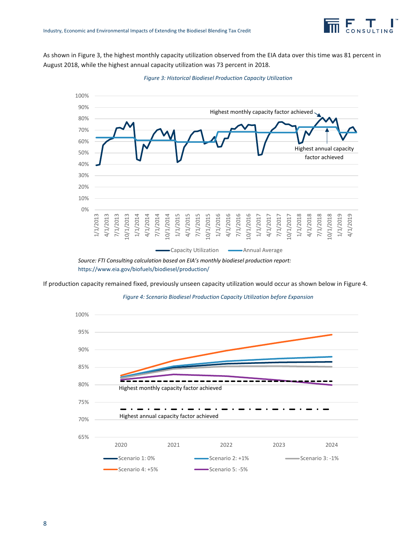<span id="page-8-0"></span>As shown in [Figure 3,](#page-8-0) the highest monthly capacity utilization observed from the EIA data over this time was 81 percent in August 2018, while the highest annual capacity utilization was 73 percent in 2018.



*Figure 3: Historical Biodiesel Production Capacity Utilization*

<span id="page-8-1"></span>If production capacity remained fixed, previously unseen capacity utilization would occur as shown below i[n Figure 4.](#page-8-1)



*Figure 4: Scenario Biodiesel Production Capacity Utilization before Expansion*

*Source: FTI Consulting calculation based on EIA's monthly biodiesel production report:*  <https://www.eia.gov/biofuels/biodiesel/production/>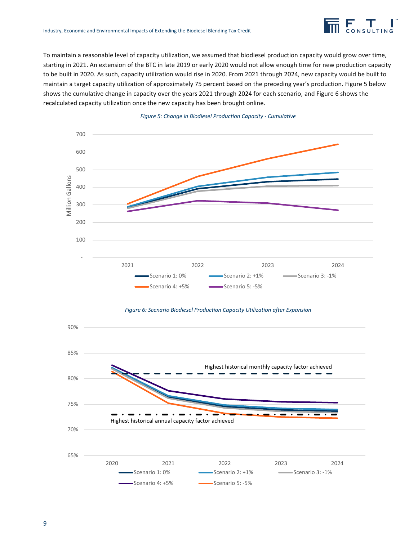To maintain a reasonable level of capacity utilization, we assumed that biodiesel production capacity would grow over time, starting in 2021. An extension of the BTC in late 2019 or early 2020 would not allow enough time for new production capacity to be built in 2020. As such, capacity utilization would rise in 2020. From 2021 through 2024, new capacity would be built to maintain a target capacity utilization of approximately 75 percent based on the preceding year's production[. Figure 5](#page-9-0) below shows the cumulative change in capacity over the years 2021 through 2024 for each scenario, an[d Figure 6](#page-9-1) shows the recalculated capacity utilization once the new capacity has been brought online.

<span id="page-9-0"></span>



<span id="page-9-1"></span>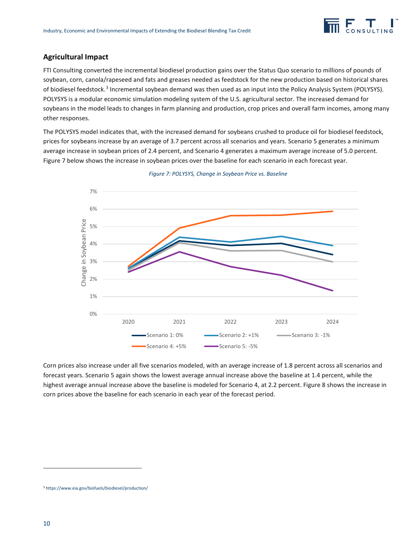

#### **Agricultural Impact**

FTI Consulting converted the incremental biodiesel production gains over the Status Quo scenario to millions of pounds of soybean, corn, canola/rapeseed and fats and greases needed as feedstock for the new production based on historical shares of biodiesel feedstock.<sup>[3](#page-10-1)</sup> Incremental soybean demand was then used as an input into the Policy Analysis System (POLYSYS). POLYSYS is a modular economic simulation modeling system of the U.S. agricultural sector. The increased demand for soybeans in the model leads to changes in farm planning and production, crop prices and overall farm incomes, among many other responses.

The POLYSYS model indicates that, with the increased demand for soybeans crushed to produce oil for biodiesel feedstock, prices for soybeans increase by an average of 3.7 percent across all scenarios and years. Scenario 5 generates a minimum average increase in soybean prices of 2.4 percent, and Scenario 4 generates a maximum average increase of 5.0 percent. [Figure 7](#page-10-0) below shows the increase in soybean prices over the baseline for each scenario in each forecast year.

<span id="page-10-0"></span>



Corn prices also increase under all five scenarios modeled, with an average increase of 1.8 percent across all scenarios and forecast years. Scenario 5 again shows the lowest average annual increase above the baseline at 1.4 percent, while the highest average annual increase above the baseline is modeled for Scenario 4, at 2.2 percent[. Figure 8](#page-11-0) shows the increase in corn prices above the baseline for each scenario in each year of the forecast period.

1

<span id="page-10-1"></span><sup>3</sup> <https://www.eia.gov/biofuels/biodiesel/production/>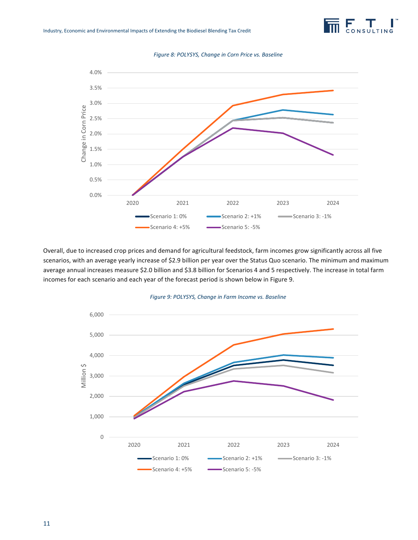

*Figure 8: POLYSYS, Change in Corn Price vs. Baseline*

<span id="page-11-0"></span>

Overall, due to increased crop prices and demand for agricultural feedstock, farm incomes grow significantly across all five scenarios, with an average yearly increase of \$2.9 billion per year over the Status Quo scenario. The minimum and maximum average annual increases measure \$2.0 billion and \$3.8 billion for Scenarios 4 and 5 respectively. The increase in total farm incomes for each scenario and each year of the forecast period is shown below in [Figure 9.](#page-11-1)

<span id="page-11-1"></span>

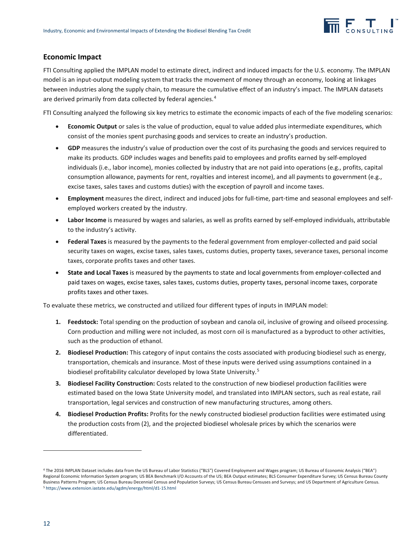

#### **Economic Impact**

FTI Consulting applied the IMPLAN model to estimate direct, indirect and induced impacts for the U.S. economy. The IMPLAN model is an input-output modeling system that tracks the movement of money through an economy, looking at linkages between industries along the supply chain, to measure the cumulative effect of an industry's impact. The IMPLAN datasets are derived primarily from data collected by federal agencies.<sup>[4](#page-12-0)</sup>

FTI Consulting analyzed the following six key metrics to estimate the economic impacts of each of the five modeling scenarios:

- **Economic Output** or sales is the value of production, equal to value added plus intermediate expenditures, which consist of the monies spent purchasing goods and services to create an industry's production.
- **GDP** measures the industry's value of production over the cost of its purchasing the goods and services required to make its products. GDP includes wages and benefits paid to employees and profits earned by self-employed individuals (i.e., labor income), monies collected by industry that are not paid into operations (e.g., profits, capital consumption allowance, payments for rent, royalties and interest income), and all payments to government (e.g., excise taxes, sales taxes and customs duties) with the exception of payroll and income taxes.
- **Employment** measures the direct, indirect and induced jobs for full-time, part-time and seasonal employees and selfemployed workers created by the industry.
- **Labor Income** is measured by wages and salaries, as well as profits earned by self-employed individuals, attributable to the industry's activity.
- **Federal Taxes** is measured by the payments to the federal government from employer-collected and paid social security taxes on wages, excise taxes, sales taxes, customs duties, property taxes, severance taxes, personal income taxes, corporate profits taxes and other taxes.
- **State and Local Taxes** is measured by the payments to state and local governments from employer-collected and paid taxes on wages, excise taxes, sales taxes, customs duties, property taxes, personal income taxes, corporate profits taxes and other taxes.

To evaluate these metrics, we constructed and utilized four different types of inputs in IMPLAN model:

- **1. Feedstock:** Total spending on the production of soybean and canola oil, inclusive of growing and oilseed processing. Corn production and milling were not included, as most corn oil is manufactured as a byproduct to other activities, such as the production of ethanol.
- **2. Biodiesel Production:** This category of input contains the costs associated with producing biodiesel such as energy, transportation, chemicals and insurance. Most of these inputs were derived using assumptions contained in a biodiesel profitability calculator developed by Iowa State University.<sup>[5](#page-12-1)</sup>
- **3. Biodiesel Facility Construction:** Costs related to the construction of new biodiesel production facilities were estimated based on the Iowa State University model, and translated into IMPLAN sectors, such as real estate, rail transportation, legal services and construction of new manufacturing structures, among others.
- **4. Biodiesel Production Profits:** Profits for the newly constructed biodiesel production facilities were estimated using the production costs from (2), and the projected biodiesel wholesale prices by which the scenarios were differentiated.

**.** 

<span id="page-12-1"></span><span id="page-12-0"></span><sup>4</sup> The 2016 IMPLAN Dataset includes data from the US Bureau of Labor Statistics ("BLS") Covered Employment and Wages program; US Bureau of Economic Analysis ("BEA") Regional Economic Information System program; US BEA Benchmark I/O Accounts of the US; BEA Output estimates; BLS Consumer Expenditure Survey; US Census Bureau County Business Patterns Program; US Census Bureau Decennial Census and Population Surveys; US Census Bureau Censuses and Surveys; and US Department of Agriculture Census. <sup>5</sup> <https://www.extension.iastate.edu/agdm/energy/html/d1-15.html>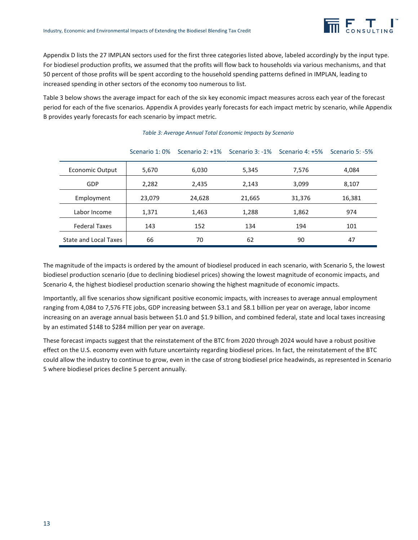

Appendix D lists the 27 IMPLAN sectors used for the first three categories listed above, labeled accordingly by the input type. For biodiesel production profits, we assumed that the profits will flow back to households via various mechanisms, and that 50 percent of those profits will be spent according to the household spending patterns defined in IMPLAN, leading to increased spending in other sectors of the economy too numerous to list.

[Table 3](#page-13-0) below shows the average impact for each of the six key economic impact measures across each year of the forecast period for each of the five scenarios. Appendix A provides yearly forecasts for each impact metric by scenario, while Appendix B provides yearly forecasts for each scenario by impact metric.

<span id="page-13-0"></span>

|                        | Scenario 1:0% | Scenario 2: +1% |        | Scenario 3: -1% Scenario 4: +5% | Scenario 5: -5% |
|------------------------|---------------|-----------------|--------|---------------------------------|-----------------|
| <b>Economic Output</b> | 5,670         | 6,030           | 5,345  | 7,576                           | 4,084           |
| GDP                    | 2,282         | 2,435           | 2,143  | 3,099                           | 8,107           |
| Employment             | 23,079        | 24,628          | 21,665 | 31,376                          | 16,381          |
| Labor Income           | 1,371         | 1,463           | 1,288  | 1,862                           | 974             |
| <b>Federal Taxes</b>   | 143           | 152             | 134    | 194                             | 101             |
| State and Local Taxes  | 66            | 70              | 62     | 90                              | 47              |

#### *Table 3: Average Annual Total Economic Impacts by Scenario*

The magnitude of the impacts is ordered by the amount of biodiesel produced in each scenario, with Scenario 5, the lowest biodiesel production scenario (due to declining biodiesel prices) showing the lowest magnitude of economic impacts, and Scenario 4, the highest biodiesel production scenario showing the highest magnitude of economic impacts.

Importantly, all five scenarios show significant positive economic impacts, with increases to average annual employment ranging from 4,084 to 7,576 FTE jobs, GDP increasing between \$3.1 and \$8.1 billion per year on average, labor income increasing on an average annual basis between \$1.0 and \$1.9 billion, and combined federal, state and local taxes increasing by an estimated \$148 to \$284 million per year on average.

These forecast impacts suggest that the reinstatement of the BTC from 2020 through 2024 would have a robust positive effect on the U.S. economy even with future uncertainty regarding biodiesel prices. In fact, the reinstatement of the BTC could allow the industry to continue to grow, even in the case of strong biodiesel price headwinds, as represented in Scenario 5 where biodiesel prices decline 5 percent annually.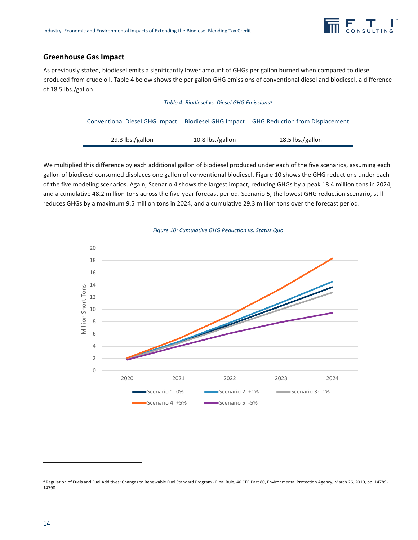

#### **Greenhouse Gas Impact**

<span id="page-14-0"></span>As previously stated, biodiesel emits a significantly lower amount of GHGs per gallon burned when compared to diesel produced from crude oil. [Table 4](#page-14-0) below shows the per gallon GHG emissions of conventional diesel and biodiesel, a difference of 18.5 lbs./gallon.

#### *Table 4: Biodiesel vs. Diesel GHG Emissions[6](#page-14-2)*

|                  |                  | Conventional Diesel GHG Impact Biodiesel GHG Impact GHG Reduction from Displacement |
|------------------|------------------|-------------------------------------------------------------------------------------|
| 29.3 lbs./gallon | 10.8 lbs./gallon | 18.5 lbs./gallon                                                                    |

We multiplied this difference by each additional gallon of biodiesel produced under each of the five scenarios, assuming each gallon of biodiesel consumed displaces one gallon of conventional biodiesel[. Figure 10](#page-14-1) shows the GHG reductions under each of the five modeling scenarios. Again, Scenario 4 shows the largest impact, reducing GHGs by a peak 18.4 million tons in 2024, and a cumulative 48.2 million tons across the five-year forecast period. Scenario 5, the lowest GHG reduction scenario, still reduces GHGs by a maximum 9.5 million tons in 2024, and a cumulative 29.3 million tons over the forecast period.

<span id="page-14-1"></span>

#### *Figure 10: Cumulative GHG Reduction vs. Status Quo*

**.** 

<span id="page-14-2"></span><sup>&</sup>lt;sup>6</sup> Regulation of Fuels and Fuel Additives: Changes to Renewable Fuel Standard Program - Final Rule, 40 CFR Part 80, Environmental Protection Agency, March 26, 2010, pp. 14789-14790.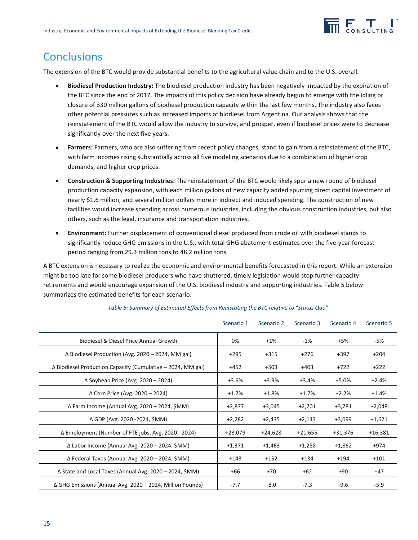

### **Conclusions**

The extension of the BTC would provide substantial benefits to the agricultural value chain and to the U.S. overall.

- **Biodiesel Production Industry:** The biodiesel production industry has been negatively impacted by the expiration of the BTC since the end of 2017. The impacts of this policy decision have already begun to emerge with the idling or closure of 330 million gallons of biodiesel production capacity within the last few months. The industry also faces other potential pressures such as increased imports of biodiesel from Argentina. Our analysis shows that the reinstatement of the BTC would allow the industry to survive, and prosper, even if biodiesel prices were to decrease significantly over the next five years.
- **Farmers:** Farmers, who are also suffering from recent policy changes, stand to gain from a reinstatement of the BTC, with farm incomes rising substantially across all five modeling scenarios due to a combination of higher crop demands, and higher crop prices.
- **Construction & Supporting Industries:** The reinstatement of the BTC would likely spur a new round of biodiesel production capacity expansion, with each million gallons of new capacity added spurring direct capital investment of nearly \$1.6 million, and several million dollars more in indirect and induced spending. The construction of new facilities would increase spending across numerous industries, including the obvious construction industries, but also others, such as the legal, insurance and transportation industries.
- **Environment:** Further displacement of conventional diesel produced from crude oil with biodiesel stands to significantly reduce GHG emissions in the U.S., with total GHG abatement estimates over the five-year forecast period ranging from 29.3 million tons to 48.2 million tons.

A BTC extension is necessary to realize the economic and environmental benefits forecasted in this report. While an extension might be too late for some biodiesel producers who have shuttered, timely legislation would stop further capacity retirements and would encourage expansion of the U.S. biodiesel industry and supporting industries. [Table 5](#page-15-0) below summarizes the estimated benefits for each scenario:

<span id="page-15-0"></span>

|                                                                      | Scenario 1 | Scenario 2 | Scenario 3 | Scenario 4 | Scenario 5 |
|----------------------------------------------------------------------|------------|------------|------------|------------|------------|
| Biodiesel & Diesel Price Annual Growth                               | 0%         | $+1\%$     | $-1\%$     | +5%        | -5%        |
| $\Delta$ Biodiesel Production (Avg. 2020 – 2024, MM gal)             | $+295$     | $+315$     | $+276$     | $+397$     | $+204$     |
| $\Delta$ Biodiesel Production Capacity (Cumulative $-$ 2024, MM gal) | $+452$     | $+503$     | $+403$     | $+722$     | $+222$     |
| $\Delta$ Soybean Price (Avg. 2020 - 2024)                            | +3.6%      | $+3.9%$    | $+3.4%$    | $+5.0%$    | $+2.4%$    |
| $\Delta$ Corn Price (Avg. 2020 - 2024)                               | $+1.7%$    | $+1.8%$    | $+1.7%$    | $+2.2%$    | $+1.4%$    |
| ∆ Farm Income (Annual Avg. 2020 – 2024, \$MM)                        | $+2,877$   | $+3,045$   | $+2,701$   | $+3,781$   | $+2,048$   |
| Δ GDP (Avg. 2020 -2024, \$MM)                                        | $+2,282$   | $+2,435$   | $+2,143$   | +3,099     | $+1,621$   |
| ∆ Employment (Number of FTE jobs, Avg. 2020 - 2024)                  | $+23,079$  | $+24,628$  | $+21,655$  | $+31,376$  | $+16,381$  |
| ∆ Labor Income (Annual Avg. 2020 – 2024, \$MM)                       | $+1,371$   | $+1,463$   | $+1,288$   | $+1,862$   | $+974$     |
| ∆ Federal Taxes (Annual Avg. 2020 – 2024, \$MM)                      | $+143$     | $+152$     | $+134$     | $+194$     | $+101$     |
| $\Delta$ State and Local Taxes (Annual Avg. 2020 – 2024, \$MM)       | $+66$      | $+70$      | $+62$      | $+90$      | $+47$      |
| ∆ GHG Emissions (Annual Avg. 2020 - 2024, Million Pounds)            | $-7.7$     | $-8.0$     | $-7.3$     | $-9.6$     | $-5.9$     |

#### *Table 5: Summary of Estimated Effects from Reinstating the BTC relative to "Status Quo"*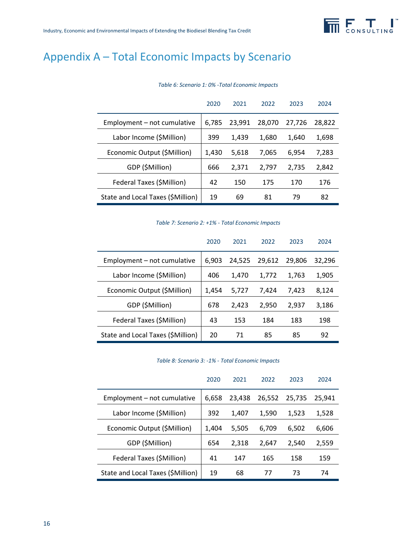

## Appendix A – Total Economic Impacts by Scenario

|                                   | 2020  | 2021   | 2022   | 2023   | 2024   |
|-----------------------------------|-------|--------|--------|--------|--------|
| Employment - not cumulative       | 6,785 | 23,991 | 28,070 | 27,726 | 28.822 |
| Labor Income (\$Million)          | 399   | 1,439  | 1,680  | 1,640  | 1,698  |
| Economic Output (\$Million)       | 1,430 | 5,618  | 7,065  | 6,954  | 7,283  |
| GDP (\$Million)                   | 666   | 2,371  | 2,797  | 2,735  | 2,842  |
| Federal Taxes (\$Million)         | 42    | 150    | 175    | 170    | 176    |
| State and Local Taxes (\$Million) | 19    | 69     | 81     | 79     | 82     |

#### *Table 6: Scenario 1: 0% -Total Economic Impacts*

*Table 7: Scenario 2: +1% - Total Economic Impacts*

|                                   | 2020  | 2021   | 2022   | 2023   | 2024   |
|-----------------------------------|-------|--------|--------|--------|--------|
| Employment - not cumulative       | 6,903 | 24.525 | 29.612 | 29.806 | 32,296 |
| Labor Income (\$Million)          | 406   | 1,470  | 1.772  | 1.763  | 1,905  |
| Economic Output (\$Million)       | 1,454 | 5,727  | 7.424  | 7.423  | 8,124  |
| GDP (\$Million)                   | 678   | 2,423  | 2,950  | 2,937  | 3,186  |
| Federal Taxes (\$Million)         | 43    | 153    | 184    | 183    | 198    |
| State and Local Taxes (\$Million) | 20    | 71     | 85     | 85     | 92     |

#### *Table 8: Scenario 3: -1% - Total Economic Impacts*

|                                   | 2020  | 2021   | 2022   | 2023   | 2024   |
|-----------------------------------|-------|--------|--------|--------|--------|
| Employment - not cumulative       | 6,658 | 23.438 | 26,552 | 25,735 | 25.941 |
| Labor Income (\$Million)          | 392   | 1,407  | 1,590  | 1,523  | 1,528  |
| Economic Output (\$Million)       | 1,404 | 5,505  | 6,709  | 6.502  | 6,606  |
| GDP (\$Million)                   | 654   | 2,318  | 2,647  | 2,540  | 2,559  |
| Federal Taxes (\$Million)         | 41    | 147    | 165    | 158    | 159    |
| State and Local Taxes (\$Million) | 19    | 68     | 77     | 73     | 74     |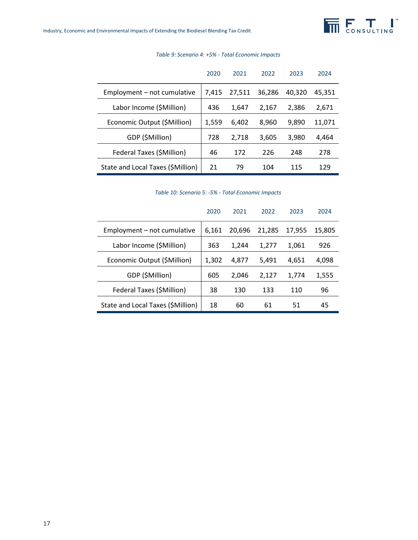|                                   | 2020  | 2021   | 2022   | 2023   | 2024   |
|-----------------------------------|-------|--------|--------|--------|--------|
| Employment – not cumulative       | 7.415 | 27,511 | 36,286 | 40.320 | 45.351 |
| Labor Income (\$Million)          | 436   | 1,647  | 2,167  | 2.386  | 2,671  |
| Economic Output (\$Million)       | 1,559 | 6,402  | 8,960  | 9.890  | 11,071 |
| GDP (\$Million)                   | 728   | 2,718  | 3.605  | 3.980  | 4,464  |
| Federal Taxes (\$Million)         | 46    | 172    | 226    | 248    | 278    |
| State and Local Taxes (\$Million) | 21    | 79     | 104    | 115    | 129    |

#### *Table 9: Scenario 4: +5% - Total Economic Impacts*

*Table 10: Scenario 5: -5% - Total Economic Impacts*

|                                   | 2020  | 2021   | 2022   | 2023   | 2024   |
|-----------------------------------|-------|--------|--------|--------|--------|
| Employment - not cumulative       | 6.161 | 20,696 | 21.285 | 17,955 | 15.805 |
| Labor Income (\$Million)          | 363   | 1,244  | 1,277  | 1.061  | 926    |
| Economic Output (\$Million)       | 1.302 | 4.877  | 5,491  | 4.651  | 4,098  |
| GDP (\$Million)                   | 605   | 2.046  | 2,127  | 1,774  | 1,555  |
| Federal Taxes (\$Million)         | 38    | 130    | 133    | 110    | 96     |
| State and Local Taxes (\$Million) | 18    | 60     | 61     | 51     | 45     |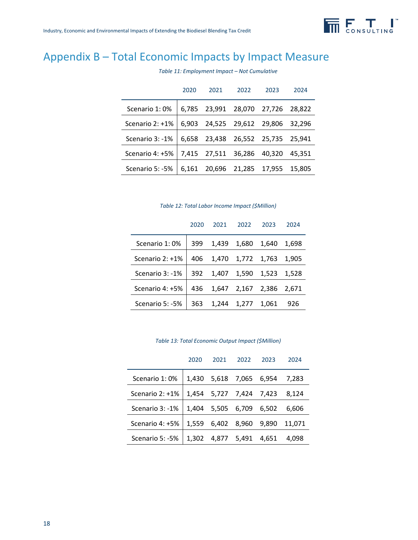

## Appendix B – Total Economic Impacts by Impact Measure

|                   | 2020  | 2021   | 2022   | 2023          | 2024   |
|-------------------|-------|--------|--------|---------------|--------|
| Scenario 1:0%     | 6.785 | 23,991 | 28,070 | 27,726        | 28.822 |
| Scenario $2:+1\%$ | 6.903 | 24,525 |        | 29,612 29,806 | 32.296 |
| Scenario 3: -1%   | 6.658 | 23,438 | 26,552 | 25,735        | 25.941 |
| Scenario 4: +5%   | 7,415 | 27,511 | 36,286 | 40,320        | 45.351 |
| Scenario 5: -5%   | 6.161 | 20,696 | 21.285 | 17.955        | 15.805 |

*Table 11: Employment Impact – Not Cumulative*

| Table 12: Total Labor Income Impact (\$Million) |  |  |  |  |
|-------------------------------------------------|--|--|--|--|
|-------------------------------------------------|--|--|--|--|

|                 | 2020 | 2021  | 2022        | 2023  | 2024  |
|-----------------|------|-------|-------------|-------|-------|
| Scenario 1:0%   | 399  | 1,439 | 1,680 1,640 |       | 1,698 |
| Scenario 2: +1% | 406  | 1,470 | 1,772 1,763 |       | 1.905 |
| Scenario 3: -1% | 392  | 1.407 | 1,590       | 1,523 | 1.528 |
| Scenario 4: +5% | 436  | 1.647 | 2,167       | 2,386 | 2.671 |
| Scenario 5: -5% | 363  | 1,244 | 1,277       | 1.061 | 926   |

*Table 13: Total Economic Output Impact (\$Million)*

|                   | 2020  | 2021  | 2022              | 2023  | 2024   |
|-------------------|-------|-------|-------------------|-------|--------|
| Scenario 1:0%     | 1.430 | 5,618 | 7,065             | 6,954 | 7.283  |
| Scenario $2:+1\%$ |       |       | 1,454 5,727 7,424 | 7.423 | 8.124  |
| Scenario 3: -1%   | 1.404 | 5,505 | 6,709             | 6.502 | 6.606  |
| Scenario 4: +5%   | 1,559 | 6.402 | 8,960             | 9.890 | 11.071 |
| Scenario 5: -5%   | 1.302 | 4.877 | 5.491             | 4.651 | 4.098  |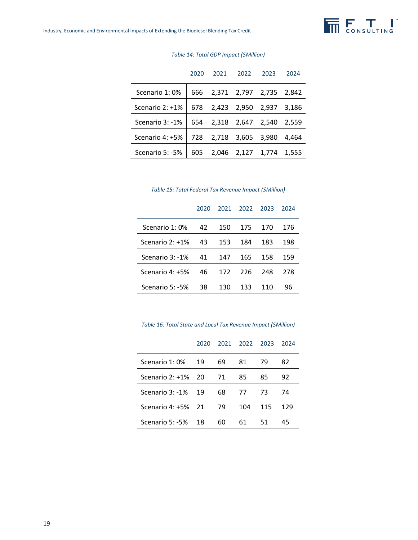|                    | 2020 | 2021                        | 2022              | 2023        | 2024  |
|--------------------|------|-----------------------------|-------------------|-------------|-------|
| Scenario 1:0%      |      | 666 2,371 2,797 2,735 2,842 |                   |             |       |
| Scenario 2: +1%    | 678  | 2,423                       |                   | 2,950 2,937 | 3.186 |
| Scenario $3: -1\%$ |      | 654 2,318 2,647 2,540       |                   |             | 2,559 |
| Scenario 4: +5%    |      | 728 2,718                   |                   | 3,605 3,980 | 4.464 |
| Scenario 5: -5%    | 605  |                             | 2,046 2,127 1,774 |             | 1,555 |

#### *Table 14: Total GDP Impact (\$Million)*

|  | Table 15: Total Federal Tax Revenue Impact (\$Million) |  |
|--|--------------------------------------------------------|--|
|--|--------------------------------------------------------|--|

| 2020 | 2021 | 2022 | 2023 | 2024 |
|------|------|------|------|------|
| 42   | 150  | 175  | 170  | 176  |
| 43   | 153  | 184  | 183  | 198  |
| 41   | 147  | 165  | 158  | 159  |
| 46   | 172  | 226  | 248  | 278  |
| 38   | 130  | 133  | 110  | 96   |
|      |      |      |      |      |

*Table 16: Total State and Local Tax Revenue Impact (\$Million)*

|                   | 2020 | 2021 | 2022 | 2023 | 2024 |
|-------------------|------|------|------|------|------|
| Scenario 1:0%     | 19   | 69   | 81   | 79   | 82   |
| Scenario $2:+1\%$ | 20   | 71   | 85   | 85   | 92   |
| Scenario 3: -1%   | 19   | 68   | 77   | 73   | 74   |
| Scenario 4: +5%   | 21   | 79   | 104  | 115  | 129  |
| Scenario 5: -5%   | 18   | 60   | 61   | 51   | 45   |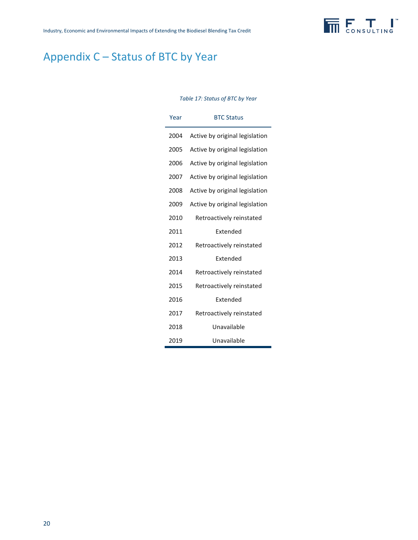

## Appendix C – Status of BTC by Year

#### *Table 17: Status of BTC by Year*

| Year | <b>BTC Status</b>              |
|------|--------------------------------|
| 2004 | Active by original legislation |
| 2005 | Active by original legislation |
| 2006 | Active by original legislation |
| 2007 | Active by original legislation |
| 2008 | Active by original legislation |
| 2009 | Active by original legislation |
| 2010 | Retroactively reinstated       |
| 2011 | Extended                       |
| 2012 | Retroactively reinstated       |
| 2013 | Extended                       |
| 2014 | Retroactively reinstated       |
| 2015 | Retroactively reinstated       |
| 2016 | <b>Fxtended</b>                |
| 2017 | Retroactively reinstated       |
| 2018 | Unavailable                    |
| 2019 | Unavailable                    |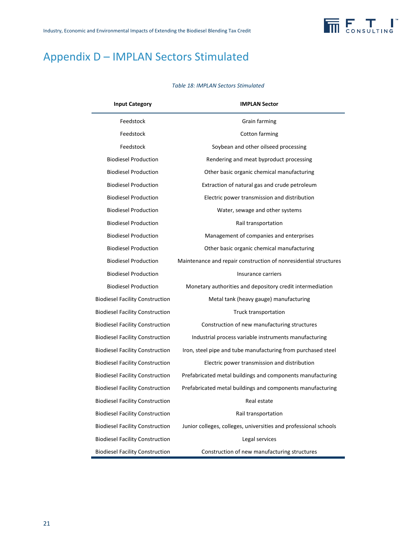

## Appendix D – IMPLAN Sectors Stimulated

#### *Table 18: IMPLAN Sectors Stimulated*

| <b>Input Category</b>                  | <b>IMPLAN Sector</b>                                             |
|----------------------------------------|------------------------------------------------------------------|
| Feedstock                              | Grain farming                                                    |
| Feedstock                              | Cotton farming                                                   |
| Feedstock                              | Soybean and other oilseed processing                             |
| <b>Biodiesel Production</b>            | Rendering and meat byproduct processing                          |
| <b>Biodiesel Production</b>            | Other basic organic chemical manufacturing                       |
| <b>Biodiesel Production</b>            | Extraction of natural gas and crude petroleum                    |
| <b>Biodiesel Production</b>            | Electric power transmission and distribution                     |
| <b>Biodiesel Production</b>            | Water, sewage and other systems                                  |
| <b>Biodiesel Production</b>            | Rail transportation                                              |
| <b>Biodiesel Production</b>            | Management of companies and enterprises                          |
| <b>Biodiesel Production</b>            | Other basic organic chemical manufacturing                       |
| <b>Biodiesel Production</b>            | Maintenance and repair construction of nonresidential structures |
| <b>Biodiesel Production</b>            | Insurance carriers                                               |
| <b>Biodiesel Production</b>            | Monetary authorities and depository credit intermediation        |
| <b>Biodiesel Facility Construction</b> | Metal tank (heavy gauge) manufacturing                           |
| <b>Biodiesel Facility Construction</b> | Truck transportation                                             |
| <b>Biodiesel Facility Construction</b> | Construction of new manufacturing structures                     |
| <b>Biodiesel Facility Construction</b> | Industrial process variable instruments manufacturing            |
| <b>Biodiesel Facility Construction</b> | Iron, steel pipe and tube manufacturing from purchased steel     |
| <b>Biodiesel Facility Construction</b> | Electric power transmission and distribution                     |
| <b>Biodiesel Facility Construction</b> | Prefabricated metal buildings and components manufacturing       |
| <b>Biodiesel Facility Construction</b> | Prefabricated metal buildings and components manufacturing       |
| <b>Biodiesel Facility Construction</b> | Real estate                                                      |
| <b>Biodiesel Facility Construction</b> | Rail transportation                                              |
| <b>Biodiesel Facility Construction</b> | Junior colleges, colleges, universities and professional schools |
| <b>Biodiesel Facility Construction</b> | Legal services                                                   |
| <b>Biodiesel Facility Construction</b> | Construction of new manufacturing structures                     |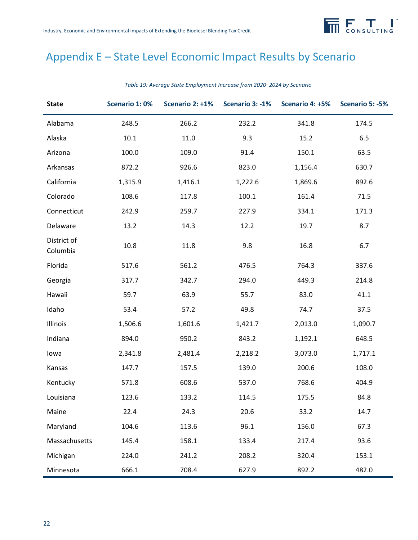

## Appendix E – State Level Economic Impact Results by Scenario

| <b>State</b>            | Scenario 1:0% | Scenario 2: +1% |         | Scenario 3: -1% Scenario 4: +5% | Scenario 5: -5% |
|-------------------------|---------------|-----------------|---------|---------------------------------|-----------------|
| Alabama                 | 248.5         | 266.2           | 232.2   | 341.8                           | 174.5           |
| Alaska                  | $10.1\,$      | 11.0            | 9.3     | 15.2                            | 6.5             |
| Arizona                 | 100.0         | 109.0           | 91.4    | 150.1                           | 63.5            |
| Arkansas                | 872.2         | 926.6           | 823.0   | 1,156.4                         | 630.7           |
| California              | 1,315.9       | 1,416.1         | 1,222.6 | 1,869.6                         | 892.6           |
| Colorado                | 108.6         | 117.8           | 100.1   | 161.4                           | 71.5            |
| Connecticut             | 242.9         | 259.7           | 227.9   | 334.1                           | 171.3           |
| Delaware                | 13.2          | 14.3            | 12.2    | 19.7                            | 8.7             |
| District of<br>Columbia | 10.8          | 11.8            | 9.8     | 16.8                            | 6.7             |
| Florida                 | 517.6         | 561.2           | 476.5   | 764.3                           | 337.6           |
| Georgia                 | 317.7         | 342.7           | 294.0   | 449.3                           | 214.8           |
| Hawaii                  | 59.7          | 63.9            | 55.7    | 83.0                            | 41.1            |
| Idaho                   | 53.4          | 57.2            | 49.8    | 74.7                            | 37.5            |
| Illinois                | 1,506.6       | 1,601.6         | 1,421.7 | 2,013.0                         | 1,090.7         |
| Indiana                 | 894.0         | 950.2           | 843.2   | 1,192.1                         | 648.5           |
| lowa                    | 2,341.8       | 2,481.4         | 2,218.2 | 3,073.0                         | 1,717.1         |
| Kansas                  | 147.7         | 157.5           | 139.0   | 200.6                           | 108.0           |
| Kentucky                | 571.8         | 608.6           | 537.0   | 768.6                           | 404.9           |
| Louisiana               | 123.6         | 133.2           | 114.5   | 175.5                           | 84.8            |
| Maine                   | 22.4          | 24.3            | 20.6    | 33.2                            | 14.7            |
| Maryland                | 104.6         | 113.6           | 96.1    | 156.0                           | 67.3            |
| Massachusetts           | 145.4         | 158.1           | 133.4   | 217.4                           | 93.6            |
| Michigan                | 224.0         | 241.2           | 208.2   | 320.4                           | 153.1           |
| Minnesota               | 666.1         | 708.4           | 627.9   | 892.2                           | 482.0           |

*Table 19: Average State Employment Increase from 2020–2024 by Scenario*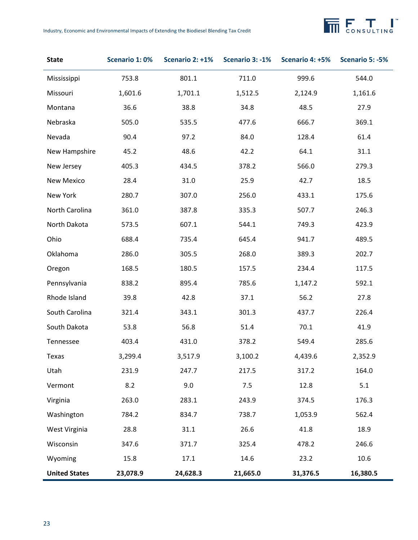

| <b>State</b>         | Scenario 1:0% | Scenario 2: +1% | Scenario 3: -1% | Scenario 4: +5% | Scenario 5: -5% |
|----------------------|---------------|-----------------|-----------------|-----------------|-----------------|
| Mississippi          | 753.8         | 801.1           | 711.0           | 999.6           | 544.0           |
| Missouri             | 1,601.6       | 1,701.1         | 1,512.5         | 2,124.9         | 1,161.6         |
| Montana              | 36.6          | 38.8            | 34.8            | 48.5            | 27.9            |
| Nebraska             | 505.0         | 535.5           | 477.6           | 666.7           | 369.1           |
| Nevada               | 90.4          | 97.2            | 84.0            | 128.4           | 61.4            |
| New Hampshire        | 45.2          | 48.6            | 42.2            | 64.1            | 31.1            |
| New Jersey           | 405.3         | 434.5           | 378.2           | 566.0           | 279.3           |
| <b>New Mexico</b>    | 28.4          | 31.0            | 25.9            | 42.7            | 18.5            |
| New York             | 280.7         | 307.0           | 256.0           | 433.1           | 175.6           |
| North Carolina       | 361.0         | 387.8           | 335.3           | 507.7           | 246.3           |
| North Dakota         | 573.5         | 607.1           | 544.1           | 749.3           | 423.9           |
| Ohio                 | 688.4         | 735.4           | 645.4           | 941.7           | 489.5           |
| Oklahoma             | 286.0         | 305.5           | 268.0           | 389.3           | 202.7           |
| Oregon               | 168.5         | 180.5           | 157.5           | 234.4           | 117.5           |
| Pennsylvania         | 838.2         | 895.4           | 785.6           | 1,147.2         | 592.1           |
| Rhode Island         | 39.8          | 42.8            | 37.1            | 56.2            | 27.8            |
| South Carolina       | 321.4         | 343.1           | 301.3           | 437.7           | 226.4           |
| South Dakota         | 53.8          | 56.8            | 51.4            | 70.1            | 41.9            |
| Tennessee            | 403.4         | 431.0           | 378.2           | 549.4           | 285.6           |
| Texas                | 3,299.4       | 3,517.9         | 3,100.2         | 4,439.6         | 2,352.9         |
| Utah                 | 231.9         | 247.7           | 217.5           | 317.2           | 164.0           |
| Vermont              | 8.2           | 9.0             | 7.5             | 12.8            | 5.1             |
| Virginia             | 263.0         | 283.1           | 243.9           | 374.5           | 176.3           |
| Washington           | 784.2         | 834.7           | 738.7           | 1,053.9         | 562.4           |
| West Virginia        | 28.8          | 31.1            | 26.6            | 41.8            | 18.9            |
| Wisconsin            | 347.6         | 371.7           | 325.4           | 478.2           | 246.6           |
| Wyoming              | 15.8          | 17.1            | 14.6            | 23.2            | 10.6            |
| <b>United States</b> | 23,078.9      | 24,628.3        | 21,665.0        | 31,376.5        | 16,380.5        |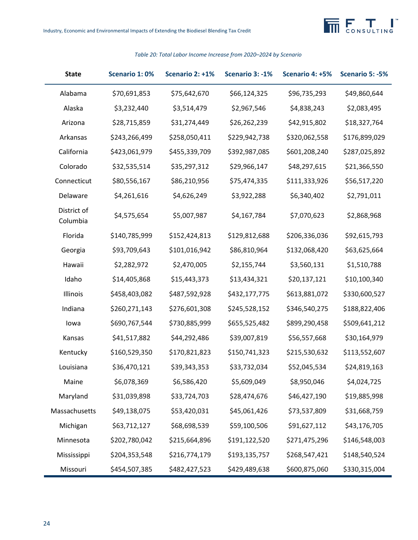

| <b>State</b>            | <b>Scenario 1:0%</b> | Scenario 2: +1% | Scenario 3: -1% | Scenario 4: +5% | Scenario 5: -5% |
|-------------------------|----------------------|-----------------|-----------------|-----------------|-----------------|
| Alabama                 | \$70,691,853         | \$75,642,670    | \$66,124,325    | \$96,735,293    | \$49,860,644    |
| Alaska                  | \$3,232,440          | \$3,514,479     | \$2,967,546     | \$4,838,243     | \$2,083,495     |
| Arizona                 | \$28,715,859         | \$31,274,449    | \$26,262,239    | \$42,915,802    | \$18,327,764    |
| Arkansas                | \$243,266,499        | \$258,050,411   | \$229,942,738   | \$320,062,558   | \$176,899,029   |
| California              | \$423,061,979        | \$455,339,709   | \$392,987,085   | \$601,208,240   | \$287,025,892   |
| Colorado                | \$32,535,514         | \$35,297,312    | \$29,966,147    | \$48,297,615    | \$21,366,550    |
| Connecticut             | \$80,556,167         | \$86,210,956    | \$75,474,335    | \$111,333,926   | \$56,517,220    |
| Delaware                | \$4,261,616          | \$4,626,249     | \$3,922,288     | \$6,340,402     | \$2,791,011     |
| District of<br>Columbia | \$4,575,654          | \$5,007,987     | \$4,167,784     | \$7,070,623     | \$2,868,968     |
| Florida                 | \$140,785,999        | \$152,424,813   | \$129,812,688   | \$206,336,036   | \$92,615,793    |
| Georgia                 | \$93,709,643         | \$101,016,942   | \$86,810,964    | \$132,068,420   | \$63,625,664    |
| Hawaii                  | \$2,282,972          | \$2,470,005     | \$2,155,744     | \$3,560,131     | \$1,510,788     |
| Idaho                   | \$14,405,868         | \$15,443,373    | \$13,434,321    | \$20,137,121    | \$10,100,340    |
| Illinois                | \$458,403,082        | \$487,592,928   | \$432,177,775   | \$613,881,072   | \$330,600,527   |
| Indiana                 | \$260,271,143        | \$276,601,308   | \$245,528,152   | \$346,540,275   | \$188,822,406   |
| lowa                    | \$690,767,544        | \$730,885,999   | \$655,525,482   | \$899,290,458   | \$509,641,212   |
| Kansas                  | \$41,517,882         | \$44,292,486    | \$39,007,819    | \$56,557,668    | \$30,164,979    |
| Kentucky                | \$160,529,350        | \$170,821,823   | \$150,741,323   | \$215,530,632   | \$113,552,607   |
| Louisiana               | \$36,470,121         | \$39,343,353    | \$33,732,034    | \$52,045,534    | \$24,819,163    |
| Maine                   | \$6,078,369          | \$6,586,420     | \$5,609,049     | \$8,950,046     | \$4,024,725     |
| Maryland                | \$31,039,898         | \$33,724,703    | \$28,474,676    | \$46,427,190    | \$19,885,998    |
| Massachusetts           | \$49,138,075         | \$53,420,031    | \$45,061,426    | \$73,537,809    | \$31,668,759    |
| Michigan                | \$63,712,127         | \$68,698,539    | \$59,100,506    | \$91,627,112    | \$43,176,705    |
| Minnesota               | \$202,780,042        | \$215,664,896   | \$191,122,520   | \$271,475,296   | \$146,548,003   |
| Mississippi             | \$204,353,548        | \$216,774,179   | \$193,135,757   | \$268,547,421   | \$148,540,524   |
| Missouri                | \$454,507,385        | \$482,427,523   | \$429,489,638   | \$600,875,060   | \$330,315,004   |

#### *Table 20: Total Labor Income Increase from 2020–2024 by Scenario*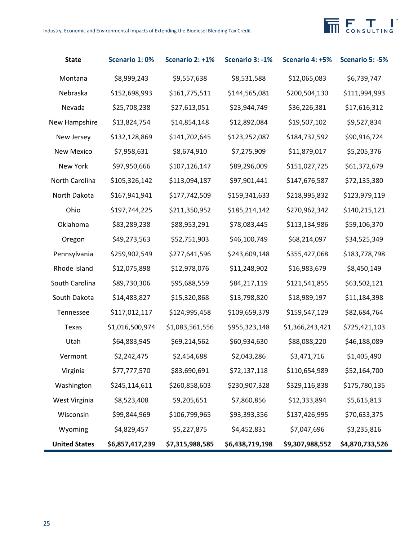# **THE FORSULTING**

| <b>State</b>         | <b>Scenario 1:0%</b> | Scenario 2: +1% | Scenario 3: -1% | Scenario 4: +5% | Scenario 5: -5% |
|----------------------|----------------------|-----------------|-----------------|-----------------|-----------------|
| Montana              | \$8,999,243          | \$9,557,638     | \$8,531,588     | \$12,065,083    | \$6,739,747     |
| Nebraska             | \$152,698,993        | \$161,775,511   | \$144,565,081   | \$200,504,130   | \$111,994,993   |
| Nevada               | \$25,708,238         | \$27,613,051    | \$23,944,749    | \$36,226,381    | \$17,616,312    |
| New Hampshire        | \$13,824,754         | \$14,854,148    | \$12,892,084    | \$19,507,102    | \$9,527,834     |
| New Jersey           | \$132,128,869        | \$141,702,645   | \$123,252,087   | \$184,732,592   | \$90,916,724    |
| <b>New Mexico</b>    | \$7,958,631          | \$8,674,910     | \$7,275,909     | \$11,879,017    | \$5,205,376     |
| New York             | \$97,950,666         | \$107,126,147   | \$89,296,009    | \$151,027,725   | \$61,372,679    |
| North Carolina       | \$105,326,142        | \$113,094,187   | \$97,901,441    | \$147,676,587   | \$72,135,380    |
| North Dakota         | \$167,941,941        | \$177,742,509   | \$159,341,633   | \$218,995,832   | \$123,979,119   |
| Ohio                 | \$197,744,225        | \$211,350,952   | \$185,214,142   | \$270,962,342   | \$140,215,121   |
| Oklahoma             | \$83,289,238         | \$88,953,291    | \$78,083,445    | \$113,134,986   | \$59,106,370    |
| Oregon               | \$49,273,563         | \$52,751,903    | \$46,100,749    | \$68,214,097    | \$34,525,349    |
| Pennsylvania         | \$259,902,549        | \$277,641,596   | \$243,609,148   | \$355,427,068   | \$183,778,798   |
| Rhode Island         | \$12,075,898         | \$12,978,076    | \$11,248,902    | \$16,983,679    | \$8,450,149     |
| South Carolina       | \$89,730,306         | \$95,688,559    | \$84,217,119    | \$121,541,855   | \$63,502,121    |
| South Dakota         | \$14,483,827         | \$15,320,868    | \$13,798,820    | \$18,989,197    | \$11,184,398    |
| Tennessee            | \$117,012,117        | \$124,995,458   | \$109,659,379   | \$159,547,129   | \$82,684,764    |
| Texas                | \$1,016,500,974      | \$1,083,561,556 | \$955,323,148   | \$1,366,243,421 | \$725,421,103   |
| Utah                 | \$64,883,945         | \$69,214,562    | \$60,934,630    | \$88,088,220    | \$46,188,089    |
| Vermont              | \$2,242,475          | \$2,454,688     | \$2,043,286     | \$3,471,716     | \$1,405,490     |
| Virginia             | \$77,777,570         | \$83,690,691    | \$72,137,118    | \$110,654,989   | \$52,164,700    |
| Washington           | \$245,114,611        | \$260,858,603   | \$230,907,328   | \$329,116,838   | \$175,780,135   |
| West Virginia        | \$8,523,408          | \$9,205,651     | \$7,860,856     | \$12,333,894    | \$5,615,813     |
| Wisconsin            | \$99,844,969         | \$106,799,965   | \$93,393,356    | \$137,426,995   | \$70,633,375    |
| Wyoming              | \$4,829,457          | \$5,227,875     | \$4,452,831     | \$7,047,696     | \$3,235,816     |
| <b>United States</b> | \$6,857,417,239      | \$7,315,988,585 | \$6,438,719,198 | \$9,307,988,552 | \$4,870,733,526 |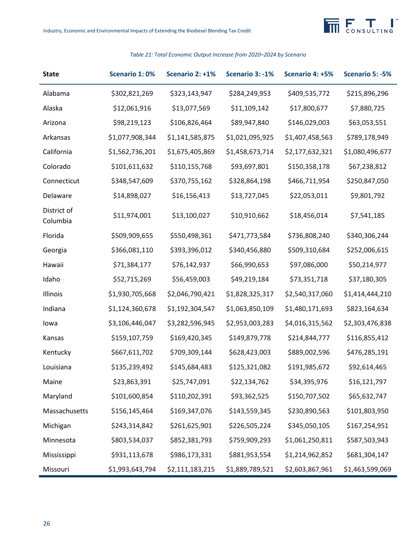

## **State Scenario 1: 0% Scenario 2: +1% Scenario 3: -1% Scenario 4: +5% Scenario 5: -5%** Alabama \$302,821,269 \$323,143,947 \$284,249,953 \$409,535,772 \$215,896,296 Alaska \$12,061,916 \$13,077,569 \$11,109,142 \$17,800,677 \$7,880,725 Arizona \$98,219,123 \$106,826,464 \$89,947,840 \$146,029,003 \$63,053,551 Arkansas \$1,077,908,344 \$1,141,585,875 \$1,021,095,925 \$1,407,458,563 \$789,178,949 California \$1,562,736,201 \$1,675,405,869 \$1,458,673,714 \$2,177,632,321 \$1,080,496,677 Colorado \$101,611,632 \$110,155,768 \$93,697,801 \$150,358,178 \$67,238,812 Connecticut \$348,547,609 \$370,755,162 \$328,864,198 \$466,711,954 \$250,847,050 Delaware \$14,898,027 \$16,156,413 \$13,727,045 \$22,053,011 \$9,801,792 District of Columbia \$11,974,001 \$13,100,027 \$10,910,662 \$18,456,014 \$7,541,185 Florida \$509,909,655 \$550,498,361 \$471,773,584 \$736,808,240 \$340,306,244 Georgia \$366,081,110 \$393,396,012 \$340,456,880 \$509,310,684 \$252,006,615 Hawaii \$71,384,177 \$76,142,937 \$66,990,653 \$97,086,000 \$50,214,977 Idaho \$52,715,269 \$56,459,003 \$49,219,184 \$73,351,718 \$37,180,305 Illinois \$1,930,705,668 \$2,046,790,421 \$1,828,325,317 \$2,540,317,060 \$1,414,444,210 Indiana \$1,124,360,678 \$1,192,304,547 \$1,063,850,109 \$1,480,171,693 \$823,164,634 Iowa \$3,106,446,047 \$3,282,596,945 \$2,953,003,283 \$4,016,315,562 \$2,303,476,838 Kansas \$159,107,759 \$169,420,345 \$149,879,778 \$214,844,777 \$116,855,412 Kentucky \$667,611,702 \$709,309,144 \$628,423,003 \$889,002,596 \$476,285,191 Louisiana \$135,239,492 \$145,684,483 \$125,321,082 \$191,985,672 \$92,614,465 Maine  $\textsf{523,863,391}$   $\textsf{525,747,091}$   $\textsf{522,134,762}$   $\textsf{534,395,976}$   $\textsf{516,121,797}$ Maryland \$101,600,854 \$110,202,391 \$93,362,525 \$150,707,502 \$65,632,747 Massachusetts \$156,145,464 \$169,347,076 \$143,559,345 \$230,890,563 \$101,803,950 Michigan \$243,314,842 \$261,625,901 \$226,505,224 \$345,050,105 \$167,254,951 Minnesota \$803,534,037 \$852,381,793 \$759,909,293 \$1,061,250,811 \$587,503,943 Mississippi \$931,113,678 \$986,173,331 \$881,953,554 \$1,214,962,852 \$681,304,147 Missouri \$1,993,643,794 \$2,111,183,215 \$1,889,789,521 \$2,603,867,961 \$1,463,599,069

#### *Table 21: Total Economic Output Increase from 2020–2024 by Scenario*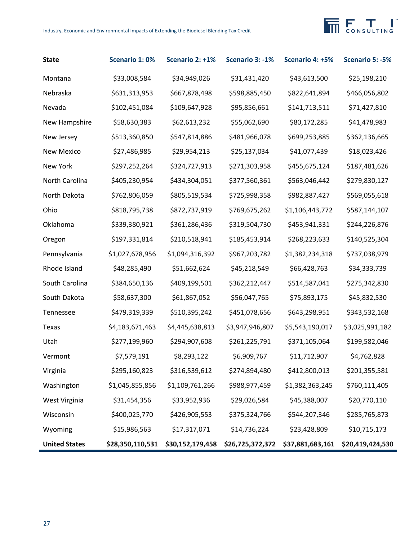# **THE FORSULTING**

| <b>State</b>         | Scenario 1:0%    | Scenario 2: +1%  | Scenario 3: -1%  | Scenario 4: +5%  | Scenario 5: -5%  |
|----------------------|------------------|------------------|------------------|------------------|------------------|
| Montana              | \$33,008,584     | \$34,949,026     | \$31,431,420     | \$43,613,500     | \$25,198,210     |
| Nebraska             | \$631,313,953    | \$667,878,498    | \$598,885,450    | \$822,641,894    | \$466,056,802    |
| Nevada               | \$102,451,084    | \$109,647,928    | \$95,856,661     | \$141,713,511    | \$71,427,810     |
| New Hampshire        | \$58,630,383     | \$62,613,232     | \$55,062,690     | \$80,172,285     | \$41,478,983     |
| New Jersey           | \$513,360,850    | \$547,814,886    | \$481,966,078    | \$699,253,885    | \$362,136,665    |
| New Mexico           | \$27,486,985     | \$29,954,213     | \$25,137,034     | \$41,077,439     | \$18,023,426     |
| New York             | \$297,252,264    | \$324,727,913    | \$271,303,958    | \$455,675,124    | \$187,481,626    |
| North Carolina       | \$405,230,954    | \$434,304,051    | \$377,560,361    | \$563,046,442    | \$279,830,127    |
| North Dakota         | \$762,806,059    | \$805,519,534    | \$725,998,358    | \$982,887,427    | \$569,055,618    |
| Ohio                 | \$818,795,738    | \$872,737,919    | \$769,675,262    | \$1,106,443,772  | \$587,144,107    |
| Oklahoma             | \$339,380,921    | \$361,286,436    | \$319,504,730    | \$453,941,331    | \$244,226,876    |
| Oregon               | \$197,331,814    | \$210,518,941    | \$185,453,914    | \$268,223,633    | \$140,525,304    |
| Pennsylvania         | \$1,027,678,956  | \$1,094,316,392  | \$967,203,782    | \$1,382,234,318  | \$737,038,979    |
| Rhode Island         | \$48,285,490     | \$51,662,624     | \$45,218,549     | \$66,428,763     | \$34,333,739     |
| South Carolina       | \$384,650,136    | \$409,199,501    | \$362,212,447    | \$514,587,041    | \$275,342,830    |
| South Dakota         | \$58,637,300     | \$61,867,052     | \$56,047,765     | \$75,893,175     | \$45,832,530     |
| Tennessee            | \$479,319,339    | \$510,395,242    | \$451,078,656    | \$643,298,951    | \$343,532,168    |
| Texas                | \$4,183,671,463  | \$4,445,638,813  | \$3,947,946,807  | \$5,543,190,017  | \$3,025,991,182  |
| Utah                 | \$277,199,960    | \$294,907,608    | \$261,225,791    | \$371,105,064    | \$199,582,046    |
| Vermont              | \$7,579,191      | \$8,293,122      | \$6,909,767      | \$11,712,907     | \$4,762,828      |
| Virginia             | \$295,160,823    | \$316,539,612    | \$274,894,480    | \$412,800,013    | \$201,355,581    |
| Washington           | \$1,045,855,856  | \$1,109,761,266  | \$988,977,459    | \$1,382,363,245  | \$760,111,405    |
| West Virginia        | \$31,454,356     | \$33,952,936     | \$29,026,584     | \$45,388,007     | \$20,770,110     |
| Wisconsin            | \$400,025,770    | \$426,905,553    | \$375,324,766    | \$544,207,346    | \$285,765,873    |
| Wyoming              | \$15,986,563     | \$17,317,071     | \$14,736,224     | \$23,428,809     | \$10,715,173     |
| <b>United States</b> | \$28,350,110,531 | \$30,152,179,458 | \$26,725,372,372 | \$37,881,683,161 | \$20,419,424,530 |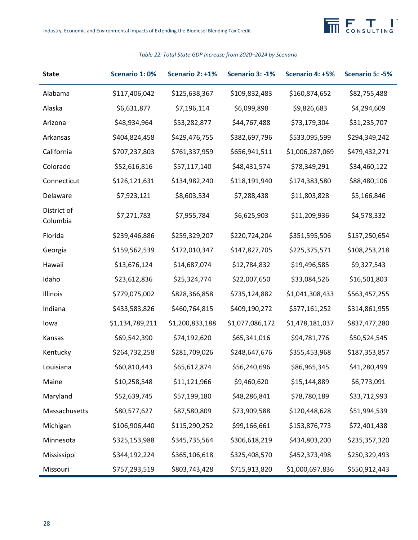

## **State Scenario 1: 0% Scenario 2: +1% Scenario 3: -1% Scenario 4: +5% Scenario 5: -5%** Alabama \$117,406,042 \$125,638,367 \$109,832,483 \$160,874,652 \$82,755,488 Alaska \$6,631,877 \$7,196,114 \$6,099,898 \$9,826,683 \$4,294,609 Arizona \$48,934,964 \$53,282,877 \$44,767,488 \$73,179,304 \$31,235,707 Arkansas \$404,824,458 \$429,476,755 \$382,697,796 \$533,095,599 \$294,349,242 California \$707,237,803 \$761,337,959 \$656,941,511 \$1,006,287,069 \$479,432,271 Colorado \$52,616,816 \$57,117,140 \$48,431,574 \$78,349,291 \$34,460,122 Connecticut \$126,121,631 \$134,982,240 \$118,191,940 \$174,383,580 \$88,480,106 Delaware \$7,923,121 \$8,603,534 \$7,288,438 \$11,803,828 \$5,166,846 District of Columbia \$7,271,783 \$7,955,784 \$6,625,903 \$11,209,936 \$4,578,332 Florida \$239,446,886 \$259,329,207 \$220,724,204 \$351,595,506 \$157,250,654 Georgia \$159,562,539 \$172,010,347 \$147,827,705 \$225,375,571 \$108,253,218 Hawaii \$13,676,124 \$14,687,074 \$12,784,832 \$19,496,585 \$9,327,543 Idaho \$23,612,836 \$25,324,774 \$22,007,650 \$33,084,526 \$16,501,803 Illinois \$779,075,002 \$828,366,858 \$735,124,882 \$1,041,308,433 \$563,457,255 Indiana \$433,583,826 \$460,764,815 \$409,190,272 \$577,161,252 \$314,861,955 Iowa \$1,134,789,211 \$1,200,833,188 \$1,077,086,172 \$1,478,181,037 \$837,477,280 Kansas \$69,542,390 \$74,192,620 \$65,341,016 \$94,781,776 \$50,524,545 Kentucky \$264,732,258 \$281,709,026 \$248,647,676 \$355,453,968 \$187,353,857 Louisiana \$60,810,443 \$65,612,874 \$56,240,696 \$86,965,345 \$41,280,499 Maine  $$10,258,548$   $$11,121,966$   $$9,460,620$   $$15,144,889$   $$6,773,091$ Maryland \$52,639,745 \$57,199,180 \$48,286,841 \$78,780,189 \$33,712,993 Massachusetts \$80,577,627 \$87,580,809 \$73,909,588 \$120,448,628 \$51,994,539 Michigan \$106,906,440 \$115,290,252 \$99,166,661 \$153,876,773 \$72,401,438 Minnesota \$325,153,988 \$345,735,564 \$306,618,219 \$434,803,200 \$235,357,320 Mississippi \$344,192,224 \$365,106,618 \$325,408,570 \$452,373,498 \$250,329,493 Missouri \$757,293,519 \$803,743,428 \$715,913,820 \$1,000,697,836 \$550,912,443

#### *Table 22: Total State GDP Increase from 2020–2024 by Scenario*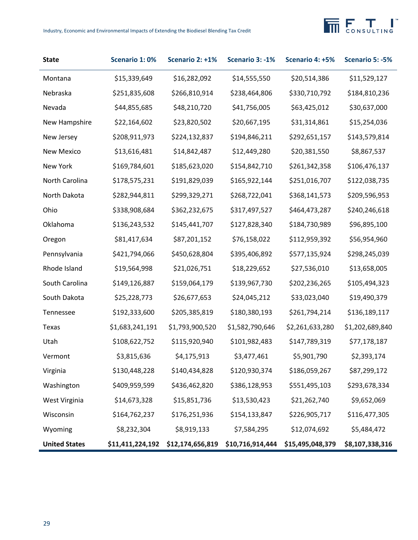# **THE FORSULTING**

| <b>State</b>         | Scenario 1:0%    | Scenario 2: +1%  | Scenario 3: -1%  | Scenario 4: +5%  | Scenario 5: -5% |
|----------------------|------------------|------------------|------------------|------------------|-----------------|
| Montana              | \$15,339,649     | \$16,282,092     | \$14,555,550     | \$20,514,386     | \$11,529,127    |
| Nebraska             | \$251,835,608    | \$266,810,914    | \$238,464,806    | \$330,710,792    | \$184,810,236   |
| Nevada               | \$44,855,685     | \$48,210,720     | \$41,756,005     | \$63,425,012     | \$30,637,000    |
| New Hampshire        | \$22,164,602     | \$23,820,502     | \$20,667,195     | \$31,314,861     | \$15,254,036    |
| New Jersey           | \$208,911,973    | \$224,132,837    | \$194,846,211    | \$292,651,157    | \$143,579,814   |
| <b>New Mexico</b>    | \$13,616,481     | \$14,842,487     | \$12,449,280     | \$20,381,550     | \$8,867,537     |
| New York             | \$169,784,601    | \$185,623,020    | \$154,842,710    | \$261,342,358    | \$106,476,137   |
| North Carolina       | \$178,575,231    | \$191,829,039    | \$165,922,144    | \$251,016,707    | \$122,038,735   |
| North Dakota         | \$282,944,811    | \$299,329,271    | \$268,722,041    | \$368,141,573    | \$209,596,953   |
| Ohio                 | \$338,908,684    | \$362,232,675    | \$317,497,527    | \$464,473,287    | \$240,246,618   |
| Oklahoma             | \$136,243,532    | \$145,441,707    | \$127,828,340    | \$184,730,989    | \$96,895,100    |
| Oregon               | \$81,417,634     | \$87,201,152     | \$76,158,022     | \$112,959,392    | \$56,954,960    |
| Pennsylvania         | \$421,794,066    | \$450,628,804    | \$395,406,892    | \$577,135,924    | \$298,245,039   |
| Rhode Island         | \$19,564,998     | \$21,026,751     | \$18,229,652     | \$27,536,010     | \$13,658,005    |
| South Carolina       | \$149,126,887    | \$159,064,179    | \$139,967,730    | \$202,236,265    | \$105,494,323   |
| South Dakota         | \$25,228,773     | \$26,677,653     | \$24,045,212     | \$33,023,040     | \$19,490,379    |
| Tennessee            | \$192,333,600    | \$205,385,819    | \$180,380,193    | \$261,794,214    | \$136,189,117   |
| Texas                | \$1,683,241,191  | \$1,793,900,520  | \$1,582,790,646  | \$2,261,633,280  | \$1,202,689,840 |
| Utah                 | \$108,622,752    | \$115,920,940    | \$101,982,483    | \$147,789,319    | \$77,178,187    |
| Vermont              | \$3,815,636      | \$4,175,913      | \$3,477,461      | \$5,901,790      | \$2,393,174     |
| Virginia             | \$130,448,228    | \$140,434,828    | \$120,930,374    | \$186,059,267    | \$87,299,172    |
| Washington           | \$409,959,599    | \$436,462,820    | \$386,128,953    | \$551,495,103    | \$293,678,334   |
| West Virginia        | \$14,673,328     | \$15,851,736     | \$13,530,423     | \$21,262,740     | \$9,652,069     |
| Wisconsin            | \$164,762,237    | \$176,251,936    | \$154,133,847    | \$226,905,717    | \$116,477,305   |
| Wyoming              | \$8,232,304      | \$8,919,133      | \$7,584,295      | \$12,074,692     | \$5,484,472     |
| <b>United States</b> | \$11,411,224,192 | \$12,174,656,819 | \$10,716,914,444 | \$15,495,048,379 | \$8,107,338,316 |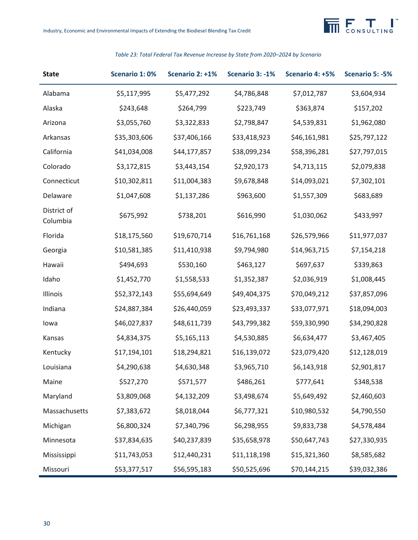

## **State Scenario 1: 0% Scenario 2: +1% Scenario 3: -1% Scenario 4: +5% Scenario 5: -5%** Alabama \$5,117,995 \$5,477,292 \$4,786,848 \$7,012,787 \$3,604,934 Alaska \$243,648 \$264,799 \$223,749 \$363,874 \$157,202 Arizona \$3,055,760 \$3,322,833 \$2,798,847 \$4,539,831 \$1,962,080 Arkansas \$35,303,606 \$37,406,166 \$33,418,923 \$46,161,981 \$25,797,122 California \$41,034,008 \$44,177,857 \$38,099,234 \$58,396,281 \$27,797,015 Colorado \$3,172,815 \$3,443,154 \$2,920,173 \$4,713,115 \$2,079,838 Connecticut \$10,302,811 \$11,004,383 \$9,678,848 \$14,093,021 \$7,302,101 Delaware \$1,047,608 \$1,137,286 \$963,600 \$1,557,309 \$683,689 District of Columbia \$675,992 \$738,201 \$616,990 \$1,030,062 \$433,997 Florida \$18,175,560 \$19,670,714 \$16,761,168 \$26,579,966 \$11,977,037 Georgia \$10,581,385 \$11,410,938 \$9,794,980 \$14,963,715 \$7,154,218 Hawaii \$494,693 \$530,160 \$463,127 \$697,637 \$339,863 Idaho \$1,452,770 \$1,558,533 \$1,352,387 \$2,036,919 \$1,008,445 Illinois \$52,372,143 \$55,694,649 \$49,404,375 \$70,049,212 \$37,857,096 Indiana \$24,887,384 \$26,440,059 \$23,493,337 \$33,077,971 \$18,094,003 Iowa \$46,027,837 \$48,611,739 \$43,799,382 \$59,330,990 \$34,290,828 Kansas \$4,834,375 \$5,165,113 \$4,530,885 \$6,634,477 \$3,467,405 Kentucky \$17,194,101 \$18,294,821 \$16,139,072 \$23,079,420 \$12,128,019 Louisiana \$4,290,638 \$4,630,348 \$3,965,710 \$6,143,918 \$2,901,817 Maine \$527,270 \$571,577 \$486,261 \$777,641 \$348,538 Maryland \$3,809,068 \$4,132,209 \$3,498,674 \$5,649,492 \$2,460,603 Massachusetts \$7,383,672 \$8,018,044 \$6,777,321 \$10,980,532 \$4,790,550 Michigan \$6,800,324 \$7,340,796 \$6,298,955 \$9,833,738 \$4,578,484 Minnesota \$37,834,635 \$40,237,839 \$35,658,978 \$50,647,743 \$27,330,935 Mississippi \$11,743,053 \$12,440,231 \$11,118,198 \$15,321,360 \$8,585,682 Missouri \$53,377,517 \$56,595,183 \$50,525,696 \$70,144,215 \$39,032,386

#### *Table 23: Total Federal Tax Revenue Increase by State from 2020–2024 by Scenario*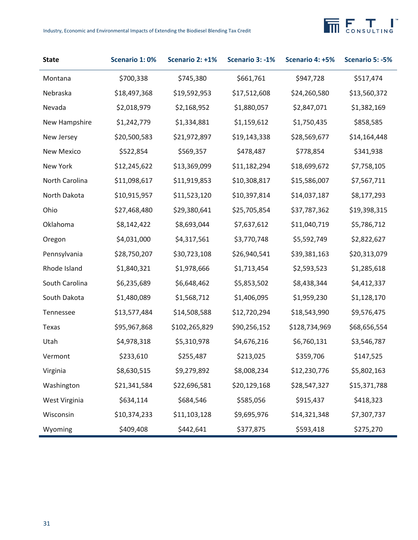

| <b>State</b>      | Scenario 1:0% | Scenario 2: +1% | Scenario 3: -1% | Scenario 4: +5% | Scenario 5: -5% |
|-------------------|---------------|-----------------|-----------------|-----------------|-----------------|
| Montana           | \$700,338     | \$745,380       | \$661,761       | \$947,728       | \$517,474       |
| Nebraska          | \$18,497,368  | \$19,592,953    | \$17,512,608    | \$24,260,580    | \$13,560,372    |
| Nevada            | \$2,018,979   | \$2,168,952     | \$1,880,057     | \$2,847,071     | \$1,382,169     |
| New Hampshire     | \$1,242,779   | \$1,334,881     | \$1,159,612     | \$1,750,435     | \$858,585       |
| New Jersey        | \$20,500,583  | \$21,972,897    | \$19,143,338    | \$28,569,677    | \$14,164,448    |
| <b>New Mexico</b> | \$522,854     | \$569,357       | \$478,487       | \$778,854       | \$341,938       |
| New York          | \$12,245,622  | \$13,369,099    | \$11,182,294    | \$18,699,672    | \$7,758,105     |
| North Carolina    | \$11,098,617  | \$11,919,853    | \$10,308,817    | \$15,586,007    | \$7,567,711     |
| North Dakota      | \$10,915,957  | \$11,523,120    | \$10,397,814    | \$14,037,187    | \$8,177,293     |
| Ohio              | \$27,468,480  | \$29,380,641    | \$25,705,854    | \$37,787,362    | \$19,398,315    |
| Oklahoma          | \$8,142,422   | \$8,693,044     | \$7,637,612     | \$11,040,719    | \$5,786,712     |
| Oregon            | \$4,031,000   | \$4,317,561     | \$3,770,748     | \$5,592,749     | \$2,822,627     |
| Pennsylvania      | \$28,750,207  | \$30,723,108    | \$26,940,541    | \$39,381,163    | \$20,313,079    |
| Rhode Island      | \$1,840,321   | \$1,978,666     | \$1,713,454     | \$2,593,523     | \$1,285,618     |
| South Carolina    | \$6,235,689   | \$6,648,462     | \$5,853,502     | \$8,438,344     | \$4,412,337     |
| South Dakota      | \$1,480,089   | \$1,568,712     | \$1,406,095     | \$1,959,230     | \$1,128,170     |
| Tennessee         | \$13,577,484  | \$14,508,588    | \$12,720,294    | \$18,543,990    | \$9,576,475     |
| Texas             | \$95,967,868  | \$102,265,829   | \$90,256,152    | \$128,734,969   | \$68,656,554    |
| Utah              | \$4,978,318   | \$5,310,978     | \$4,676,216     | \$6,760,131     | \$3,546,787     |
| Vermont           | \$233,610     | \$255,487       | \$213,025       | \$359,706       | \$147,525       |
| Virginia          | \$8,630,515   | \$9,279,892     | \$8,008,234     | \$12,230,776    | \$5,802,163     |
| Washington        | \$21,341,584  | \$22,696,581    | \$20,129,168    | \$28,547,327    | \$15,371,788    |
| West Virginia     | \$634,114     | \$684,546       | \$585,056       | \$915,437       | \$418,323       |
| Wisconsin         | \$10,374,233  | \$11,103,128    | \$9,695,976     | \$14,321,348    | \$7,307,737     |
| Wyoming           | \$409,408     | \$442,641       | \$377,875       | \$593,418       | \$275,270       |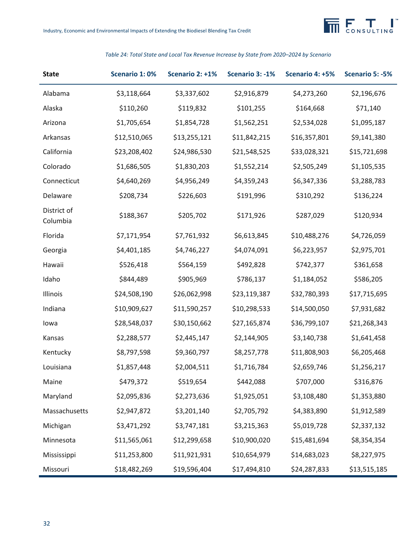

## **State Scenario 1: 0% Scenario 2: +1% Scenario 3: -1% Scenario 4: +5% Scenario 5: -5%** Alabama \$3,118,664 \$3,337,602 \$2,916,879 \$4,273,260 \$2,196,676 Alaska \$110,260 \$119,832 \$101,255 \$164,668 \$71,140 Arizona \$1,705,654 \$1,854,728 \$1,562,251 \$2,534,028 \$1,095,187 Arkansas \$12,510,065 \$13,255,121 \$11,842,215 \$16,357,801 \$9,141,380 California \$23,208,402 \$24,986,530 \$21,548,525 \$33,028,321 \$15,721,698 Colorado \$1,686,505 \$1,830,203 \$1,552,214 \$2,505,249 \$1,105,535 Connecticut \$4,640,269 \$4,956,249 \$4,359,243 \$6,347,336 \$3,288,783 Delaware \$208,734 \$226,603 \$191,996 \$310,292 \$136,224 District of Columbia \$188,367 \$205,702 \$171,926 \$287,029 \$120,934 Florida \$7,171,954 \$7,761,932 \$6,613,845 \$10,488,276 \$4,726,059 Georgia \$4,401,185 \$4,746,227 \$4,074,091 \$6,223,957 \$2,975,701 Hawaii \$526,418 \$564,159 \$492,828 \$742,377 \$361,658 Idaho \$844,489 \$905,969 \$786,137 \$1,184,052 \$586,205 Illinois \$24,508,190 \$26,062,998 \$23,119,387 \$32,780,393 \$17,715,695 Indiana \$10,909,627 \$11,590,257 \$10,298,533 \$14,500,050 \$7,931,682 Iowa \$28,548,037 \$30,150,662 \$27,165,874 \$36,799,107 \$21,268,343 Kansas \$2,288,577 \$2,445,147 \$2,144,905 \$3,140,738 \$1,641,458 Kentucky \$8,797,598 \$9,360,797 \$8,257,778 \$11,808,903 \$6,205,468 Louisiana \$1,857,448 \$2,004,511 \$1,716,784 \$2,659,746 \$1,256,217 Maine \$479,372 \$519,654 \$442,088 \$707,000 \$316,876 Maryland \$2,095,836 \$2,273,636 \$1,925,051 \$3,108,480 \$1,353,880 Massachusetts \$2,947,872 \$3,201,140 \$2,705,792 \$4,383,890 \$1,912,589 Michigan \$3,471,292 \$3,747,181 \$3,215,363 \$5,019,728 \$2,337,132 Minnesota \$11,565,061 \$12,299,658 \$10,900,020 \$15,481,694 \$8,354,354 Mississippi \$11,253,800 \$11,921,931 \$10,654,979 \$14,683,023 \$8,227,975 Missouri \$18,482,269 \$19,596,404 \$17,494,810 \$24,287,833 \$13,515,185

#### *Table 24: Total State and Local Tax Revenue Increase by State from 2020–2024 by Scenario*